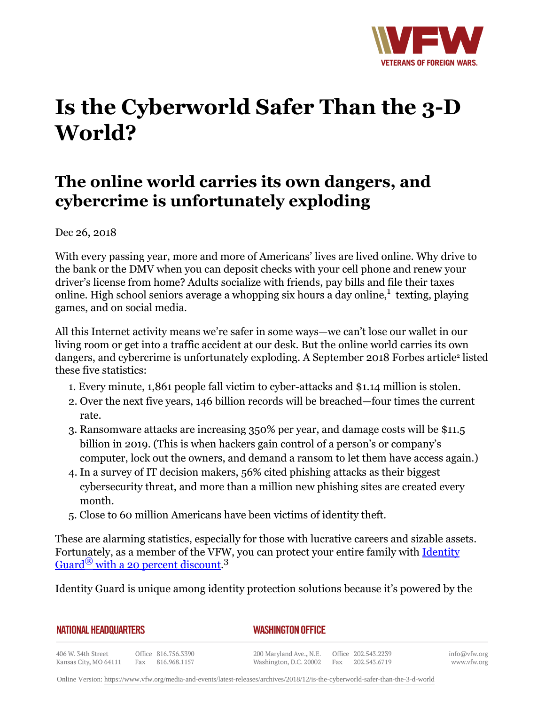

## **Is the Cyberworld Safer Than the 3-D World?**

## **The online world carries its own dangers, and cybercrime is unfortunately exploding**

Dec 26, 2018

With every passing year, more and more of Americans' lives are lived online. Why drive to the bank or the DMV when you can deposit checks with your cell phone and renew your driver's license from home? Adults socialize with friends, pay bills and file their taxes online. High school seniors average a whopping six hours a day online, $1$  texting, playing games, and on social media.

All this Internet activity means we're safer in some ways—we can't lose our wallet in our living room or get into a traffic accident at our desk. But the online world carries its own dangers, and cybercrime is unfortunately exploding. A September 2018 Forbes article<sup>2</sup> listed these five statistics:

- 1. Every minute, 1,861 people fall victim to cyber-attacks and \$1.14 million is stolen.
- 2. Over the next five years, 146 billion records will be breached—four times the current rate.
- 3. Ransomware attacks are increasing 350% per year, and damage costs will be \$11.5 billion in 2019. (This is when hackers gain control of a person's or company's computer, lock out the owners, and demand a ransom to let them have access again.)
- 4. In a survey of IT decision makers, 56% cited phishing attacks as their biggest cybersecurity threat, and more than a million new phishing sites are created every month.
- 5. Close to 60 million Americans have been victims of identity theft.

These are alarming statistics, especially for those with lucrative careers and sizable assets. Fortunately, as a member of the VFW, you can protect your entire family with [Identity](http:http://www.identityguard.com/vfw)  $\mathrm{Guard}^\circledR$  $\mathrm{Guard}^\circledR$  $\mathrm{Guard}^\circledR$  [with a 20 percent discount](http:http://www.identityguard.com/vfw). $^3$ 

Identity Guard is unique among identity protection solutions because it's powered by the

## *WASHINGTON OFFICE*

406 W. 34th Street Office 816.756.3390 Fax 816.968.1157 Kansas City, MO 64111

200 Maryland Ave., N.E. Washington, D.C. 20002 info@vfw.org www.vfw.org